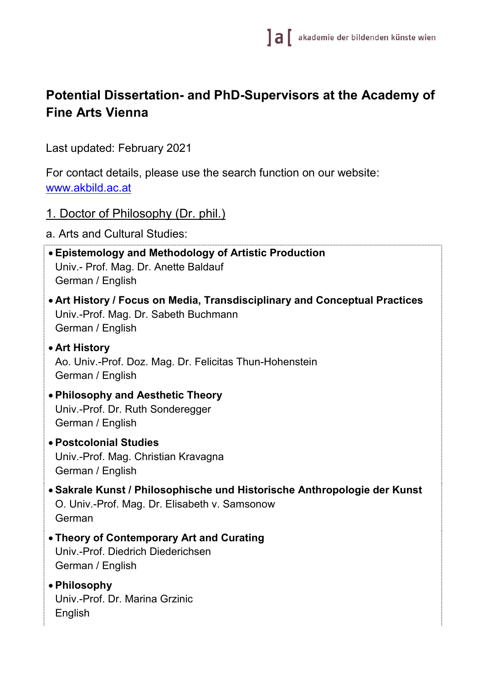# **Potential Dissertation- and PhD-Supervisors at the Academy of Fine Arts Vienna**

Last updated: February 2021

For contact details, please use the search function on our website: [www.akbild.ac.at](http://www.akbild.ac.at/)

- 1. Doctor of Philosophy (Dr. phil.)
- a. Arts and Cultural Studies:
- **Epistemology and Methodology of Artistic Production** Univ.- Prof. Mag. Dr. Anette Baldauf German / English
- **Art History / Focus on Media, Transdisciplinary and Conceptual Practices** Univ.-Prof. Mag. Dr. Sabeth Buchmann German / English
- **Art History** Ao. Univ.-Prof. Doz. Mag. Dr. Felicitas Thun-Hohenstein German / English
- **Philosophy and Aesthetic Theory** Univ.-Prof. Dr. Ruth Sonderegger German / English
- **Postcolonial Studies** Univ.-Prof. Mag. Christian Kravagna German / English
- **Sakrale Kunst / Philosophische und Historische Anthropologie der Kunst** O. Univ.-Prof. Mag. Dr. Elisabeth v. Samsonow German
- **Theory of Contemporary Art and Curating** Univ.-Prof. Diedrich Diederichsen German / English
- **Philosophy** Univ.-Prof. Dr. Marina Grzinic English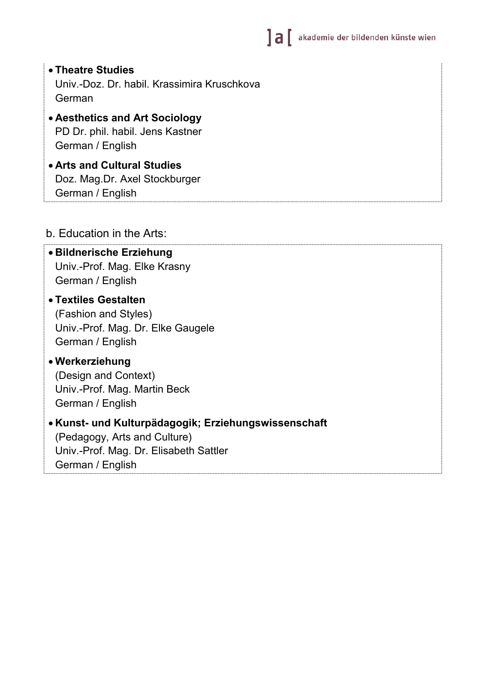- **Theatre Studies** Univ.-Doz. Dr. habil. Krassimira Kruschkova German
- **Aesthetics and Art Sociology** PD Dr. phil. habil. Jens Kastner German / English
- **Arts and Cultural Studies** Doz. Mag.Dr. Axel Stockburger German / English

#### b. Education in the Arts:

#### • **Bildnerische Erziehung** Univ.-Prof. Mag. Elke Krasny German / English

- **Textiles Gestalten** (Fashion and Styles) Univ.-Prof. Mag. Dr. Elke Gaugele German / English
- **Werkerziehung** (Design and Context) Univ.-Prof. Mag. Martin Beck German / English

#### • **Kunst- und Kulturpädagogik; Erziehungswissenschaft** (Pedagogy, Arts and Culture) Univ.-Prof. Mag. Dr. Elisabeth Sattler German / English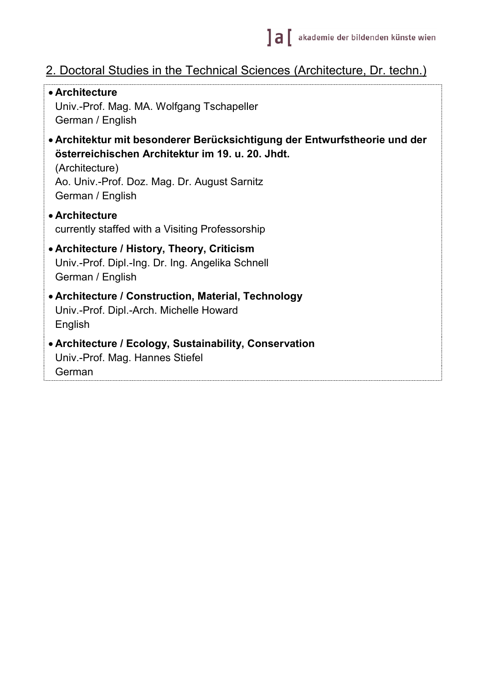# 2. Doctoral Studies in the Technical Sciences (Architecture, Dr. techn.)

• **Architecture** Univ.-Prof. Mag. MA. Wolfgang Tschapeller German / English • **Architektur mit besonderer Berücksichtigung der Entwurfstheorie und der österreichischen Architektur im 19. u. 20. Jhdt.** (Architecture) Ao. Univ.-Prof. Doz. Mag. Dr. August Sarnitz German / English • **Architecture** currently staffed with a Visiting Professorship • **Architecture / History, Theory, Criticism** Univ.-Prof. Dipl.-Ing. Dr. Ing. Angelika Schnell German / English • **Architecture / Construction, Material, Technology** Univ.-Prof. Dipl.-Arch. Michelle Howard English • **Architecture / Ecology, Sustainability, Conservation** Univ.-Prof. Mag. Hannes Stiefel German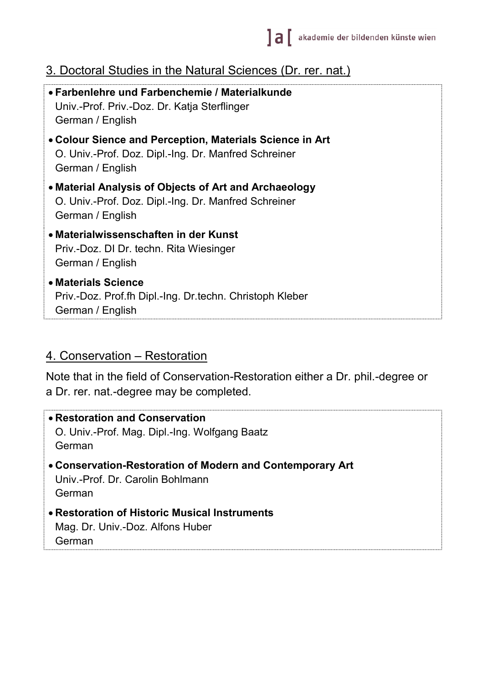# 3. Doctoral Studies in the Natural Sciences (Dr. rer. nat.)

| • Farbenlehre und Farbenchemie / Materialkunde<br>Univ.-Prof. Priv.-Doz. Dr. Katja Sterflinger<br>German / English                   |
|--------------------------------------------------------------------------------------------------------------------------------------|
| • Colour Sience and Perception, Materials Science in Art<br>O. Univ.-Prof. Doz. Dipl.-Ing. Dr. Manfred Schreiner<br>German / English |
| • Material Analysis of Objects of Art and Archaeology<br>O. Univ.-Prof. Doz. Dipl.-Ing. Dr. Manfred Schreiner<br>German / English    |
| • Materialwissenschaften in der Kunst<br>Priv.-Doz. DI Dr. techn. Rita Wiesinger<br>German / English                                 |
| • Materials Science<br>Priv.-Doz. Prof.fh Dipl.-Ing. Dr.techn. Christoph Kleber<br>German / English                                  |

#### 4. Conservation – Restoration

Note that in the field of Conservation-Restoration either a Dr. phil.-degree or a Dr. rer. nat.-degree may be completed.

• **Restoration and Conservation** O. Univ.-Prof. Mag. Dipl.-Ing. Wolfgang Baatz German • **Conservation-Restoration of Modern and Contemporary Art** Univ.-Prof. Dr. Carolin Bohlmann German • **Restoration of Historic Musical Instruments** Mag. Dr. Univ.-Doz. Alfons Huber German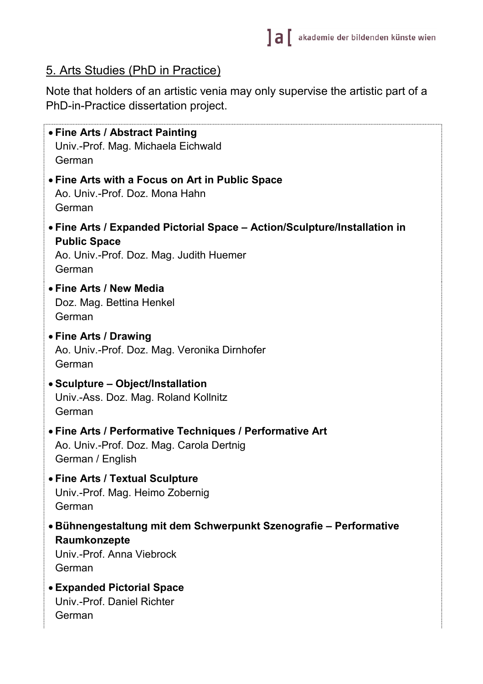### 5. Arts Studies (PhD in Practice)

Note that holders of an artistic venia may only supervise the artistic part of a PhD-in-Practice dissertation project.

• **Fine Arts / Abstract Painting** Univ.-Prof. Mag. Michaela Eichwald German • **Fine Arts with a Focus on Art in Public Space** Ao. Univ.-Prof. Doz. Mona Hahn German • **Fine Arts / Expanded Pictorial Space – Action/Sculpture/Installation in Public Space** Ao. Univ.-Prof. Doz. Mag. Judith Huemer German • **Fine Arts / New Media** Doz. Mag. Bettina Henkel German • **Fine Arts / Drawing** Ao. Univ.-Prof. Doz. Mag. Veronika Dirnhofer German • **Sculpture – Object/Installation** Univ.-Ass. Doz. Mag. Roland Kollnitz German • **Fine Arts / Performative Techniques / Performative Art** Ao. Univ.-Prof. Doz. Mag. Carola Dertnig German / English • **Fine Arts / Textual Sculpture** Univ.-Prof. Mag. Heimo Zobernig German • **Bühnengestaltung mit dem Schwerpunkt Szenografie – Performative Raumkonzepte** Univ.-Prof. Anna Viebrock German • **Expanded Pictorial Space** Univ.-Prof. Daniel Richter German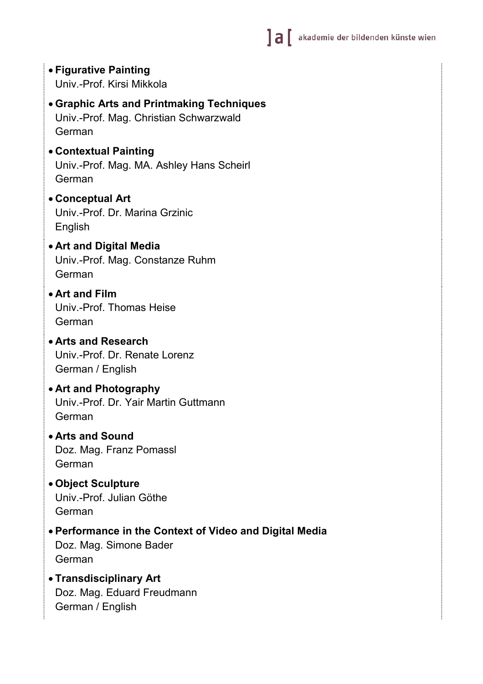- **Figurative Painting** Univ.-Prof. Kirsi Mikkola
- **Graphic Arts and Printmaking Techniques** Univ.-Prof. Mag. Christian Schwarzwald German
- **Contextual Painting** Univ.-Prof. Mag. MA. Ashley Hans Scheirl German
- **Conceptual Art** Univ.-Prof. Dr. Marina Grzinic English
- **Art and Digital Media** Univ.-Prof. Mag. Constanze Ruhm German
- **Art and Film** Univ.-Prof. Thomas Heise German
- **Arts and Research** Univ.-Prof. Dr. Renate Lorenz German / English
- **Art and Photography** Univ.-Prof. Dr. Yair Martin Guttmann German
- **Arts and Sound** Doz. Mag. Franz Pomassl German
- **Object Sculpture** Univ.-Prof. Julian Göthe German
- **Performance in the Context of Video and Digital Media** Doz. Mag. Simone Bader German
- **Transdisciplinary Art** Doz. Mag. Eduard Freudmann German / English